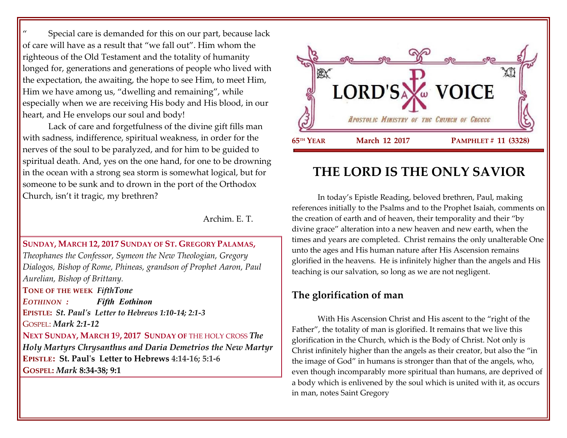Special care is demanded for this on our part, because lack of care will have as a result that "we fall out". Him whom the righteous of the Old Testament and the totality of humanity longed for, generations and generations of people who lived with the expectation, the awaiting, the hope to see Him, to meet Him, Him we have among us, "dwelling and remaining", while especially when we are receiving His body and His blood, in our heart, and He envelops our soul and body!

Lack of care and forgetfulness of the divine gift fills man with sadness, indifference, spiritual weakness, in order for the nerves of the soul to be paralyzed, and for him to be guided to spiritual death. And, yes on the one hand, for one to be drowning in the ocean with a strong sea storm is somewhat logical, but for someone to be sunk and to drown in the port of the Orthodox Church, isn't it tragic, my brethren?

Archim. E. T.

#### **SUNDAY, MARCH 12, 2017 SUNDAY OF ST. GREGORY PALAMAS,**

*Theophanes the Confessor, Symeon the New Theologian, Gregory Dialogos, Bishop of Rome, Phineas, grandson of Prophet Aaron, Paul Aurelian, Bishop of Brittany.*

**TONE OF THE WEEK** *FifthTone*

*EOTHINON : Fifth Eothinon*

**EPISTLE:** *St. Paul's Letter to Hebrews 1:10-14; 2:1-3* GOSPEL: *Mark 2:1-12*

**NEXT SUNDAY, MARCH 1**9**, 2017 SUNDAY OF** THE HOLY CROSS *[The](https://www.goarch.org/chapel/saints?contentid=465)  [Holy Martyrs Chrysanthus and Daria](https://www.goarch.org/chapel/saints?contentid=465) Demetrios the New Martyr* **EPISTLE: St. Paul's Letter to Hebrews 4:14-16; 5:1-6 GOSPEL:** *Mark* **8:34-38; 9:1**



# **THE LORD IS THE ONLY SAVIOR**

In today's Epistle Reading, beloved brethren, Paul, making references initially to the Psalms and to the Prophet Isaiah, comments on the creation of earth and of heaven, their temporality and their "by divine grace" alteration into a new heaven and new earth, when the times and years are completed. Christ remains the only unalterable One unto the ages and His human nature after His Ascension remains glorified in the heavens. He is infinitely higher than the angels and His teaching is our salvation, so long as we are not negligent.

## **The glorification of man**

With His Ascension Christ and His ascent to the "right of the Father", the totality of man is glorified. It remains that we live this glorification in the Church, which is the Body of Christ. Not only is Christ infinitely higher than the angels as their creator, but also the "in the image of God" in humans is stronger than that of the angels, who, even though incomparably more spiritual than humans, are deprived of a body which is enlivened by the soul which is united with it, as occurs in man, notes Saint Gregory